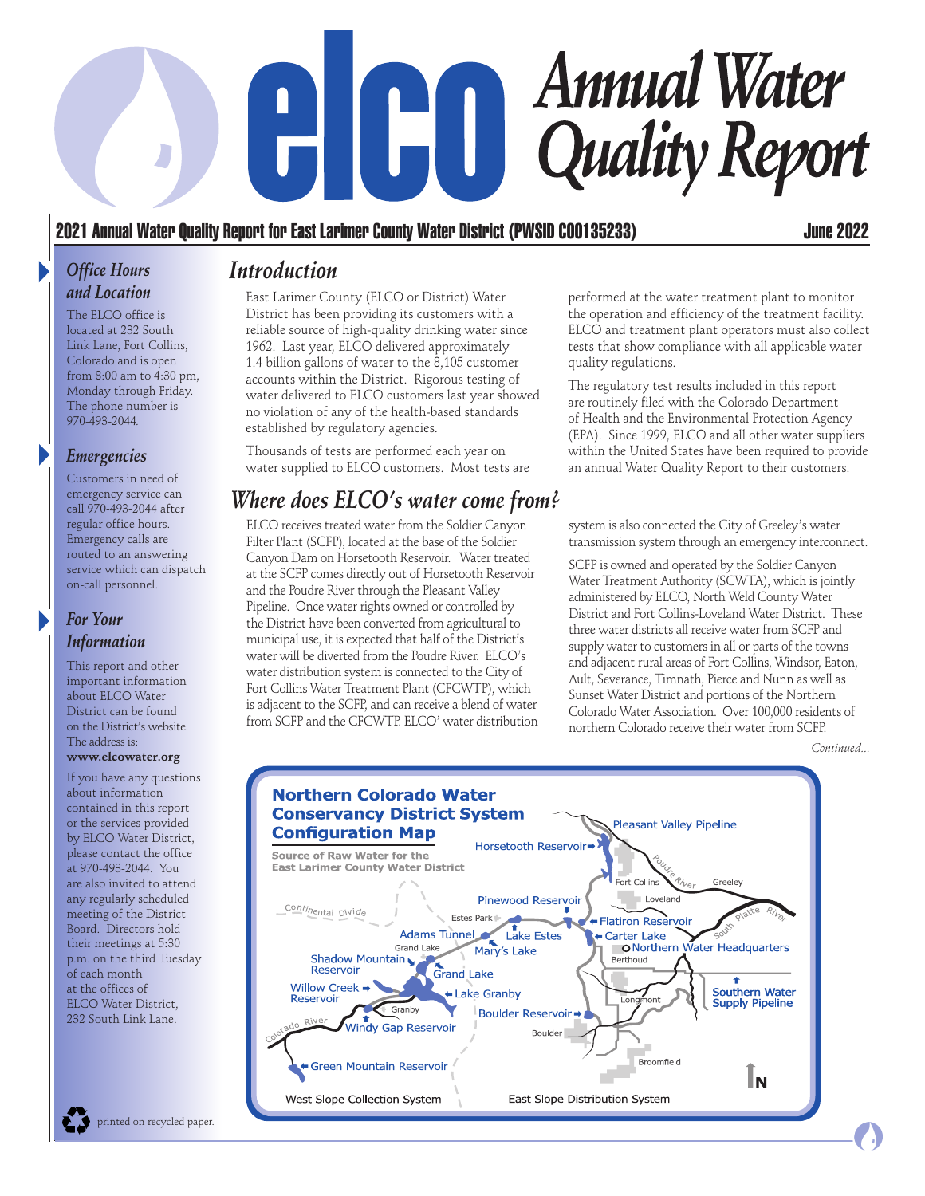# **Annual Water**  $H[H]$ **Quality Report**

### 2021 Annual Water Quality Report for East Larimer County Water District (PWSID C00135233) June 2022

#### *Office Hours and Location*

The ELCO office is located at 232 South Link Lane, Fort Collins, Colorado and is open from 8:00 am to 4:30 pm, Monday through Friday. The phone number is 970-493-2044*.*

#### *Emergencies*

Customers in need of emergency service can call 970-493-2044 after regular office hours. Emergency calls are routed to an answering service which can dispatch on-call personnel.

#### *For Your Information*

This report and other important information about ELCO Water District can be found on the District's website. The address is:

#### **www.elcowater.org**

If you have any questions about information contained in this report or the services provided by ELCO Water District, please contact the office at 970-493-2044. You are also invited to attend any regularly scheduled meeting of the District Board. Directors hold their meetings at 5:30 p.m. on the third Tuesday of each month at the offices of ELCO Water District, 232 South Link Lane.

### *Introduction*

East Larimer County (ELCO or District) Water District has been providing its customers with a reliable source of high-quality drinking water since 1962. Last year, ELCO delivered approximately 1.4 billion gallons of water to the 8,105 customer accounts within the District. Rigorous testing of water delivered to ELCO customers last year showed no violation of any of the health-based standards established by regulatory agencies.

Thousands of tests are performed each year on water supplied to ELCO customers. Most tests are

### *Where does ELCO's water come from?*

ELCO receives treated water from the Soldier Canyon Filter Plant (SCFP), located at the base of the Soldier Canyon Dam on Horsetooth Reservoir. Water treated at the SCFP comes directly out of Horsetooth Reservoir and the Poudre River through the Pleasant Valley Pipeline. Once water rights owned or controlled by the District have been converted from agricultural to municipal use, it is expected that half of the District's water will be diverted from the Poudre River. ELCO's water distribution system is connected to the City of Fort Collins Water Treatment Plant (CFCWTP), which is adjacent to the SCFP, and can receive a blend of water from SCFP and the CFCWTP. ELCO' water distribution performed at the water treatment plant to monitor the operation and efficiency of the treatment facility. ELCO and treatment plant operators must also collect tests that show compliance with all applicable water quality regulations.

The regulatory test results included in this report are routinely filed with the Colorado Department of Health and the Environmental Protection Agency (EPA). Since 1999, ELCO and all other water suppliers within the United States have been required to provide an annual Water Quality Report to their customers.

system is also connected the City of Greeley's water transmission system through an emergency interconnect.

SCFP is owned and operated by the Soldier Canyon Water Treatment Authority (SCWTA), which is jointly administered by ELCO, North Weld County Water District and Fort Collins-Loveland Water District. These three water districts all receive water from SCFP and supply water to customers in all or parts of the towns and adjacent rural areas of Fort Collins, Windsor, Eaton, Ault, Severance, Timnath, Pierce and Nunn as well as Sunset Water District and portions of the Northern Colorado Water Association. Over 100,000 residents of northern Colorado receive their water from SCFP.

*Continued...*

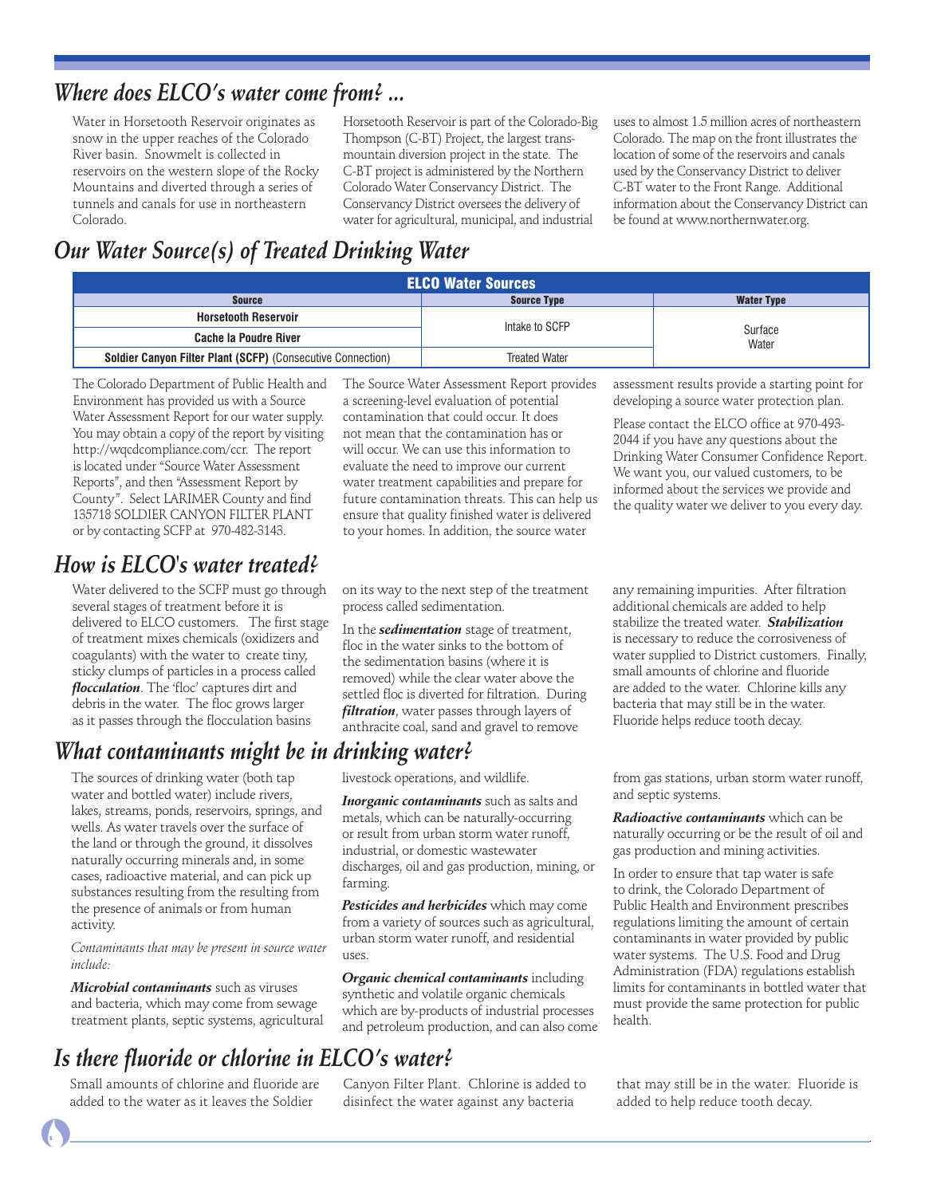### *Where does ELCO's water come from? ...*

Water in Horsetooth Reservoir originates as snow in the upper reaches of the Colorado River basin. Snowmelt is collected in reservoirs on the western slope of the Rocky Mountains and diverted through a series of tunnels and canals for use in northeastern Colorado.

Horsetooth Reservoir is part of the Colorado-Big Thompson (C-BT) Project, the largest transmountain diversion project in the state. The C-BT project is administered by the Northern Colorado Water Conservancy District. The Conservancy District oversees the delivery of water for agricultural, municipal, and industrial

uses to almost 1.5 million acres of northeastern Colorado. The map on the front illustrates the location of some of the reservoirs and canals used by the Conservancy District to deliver C-BT water to the Front Range. Additional information about the Conservancy District can be found at www.northernwater.org.

assessment results provide a starting point for developing a source water protection plan. Please contact the ELCO office at 970-493- 2044 if you have any questions about the Drinking Water Consumer Confidence Report. We want you, our valued customers, to be informed about the services we provide and the quality water we deliver to you every day.

### *Our Water Source(s) of Treated Drinking Water*

| <b>ELCO Water Sources</b>                                   |                      |                   |  |  |  |  |
|-------------------------------------------------------------|----------------------|-------------------|--|--|--|--|
| <b>Source</b>                                               | <b>Source Type</b>   | <b>Water Type</b> |  |  |  |  |
| <b>Horsetooth Reservoir</b>                                 | Intake to SCFP       |                   |  |  |  |  |
| <b>Cache la Poudre River</b>                                |                      | Surface<br>Water  |  |  |  |  |
| Soldier Canyon Filter Plant (SCFP) (Consecutive Connection) | <b>Treated Water</b> |                   |  |  |  |  |

The Colorado Department of Public Health and Environment has provided us with a Source Water Assessment Report for our water supply. You may obtain a copy of the report by visiting http://wqcdcompliance.com/ccr. The report is located under "Source Water Assessment Reports", and then "Assessment Report by County". Select LARIMER County and find 135718 SOLDIER CANYON FILTER PLANT or by contacting SCFP at 970-482-3143.

### *How is ELCO's water treated?*

Water delivered to the SCFP must go through several stages of treatment before it is delivered to ELCO customers. The first stage of treatment mixes chemicals (oxidizers and coagulants) with the water to create tiny, sticky clumps of particles in a process called *flocculation*. The 'floc' captures dirt and debris in the water. The floc grows larger as it passes through the flocculation basins

### *What contaminants might be in drinking water?*

The sources of drinking water (both tap water and bottled water) include rivers, lakes, streams, ponds, reservoirs, springs, and wells. As water travels over the surface of the land or through the ground, it dissolves naturally occurring minerals and, in some cases, radioactive material, and can pick up substances resulting from the resulting from the presence of animals or from human activity.

*Contaminants that may be present in source water include:*

*Microbial contaminants* such as viruses and bacteria, which may come from sewage treatment plants, septic systems, agricultural

### *Is there fluoride or chlorine in ELCO's water?*

Small amounts of chlorine and fluoride are added to the water as it leaves the Soldier

The Source Water Assessment Report provides a screening-level evaluation of potential contamination that could occur. It does not mean that the contamination has or will occur. We can use this information to evaluate the need to improve our current water treatment capabilities and prepare for future contamination threats. This can help us ensure that quality finished water is delivered to your homes. In addition, the source water

on its way to the next step of the treatment process called sedimentation.

In the *sedimentation* stage of treatment, floc in the water sinks to the bottom of the sedimentation basins (where it is removed) while the clear water above the settled floc is diverted for filtration. During *filtration*, water passes through layers of anthracite coal, sand and gravel to remove

*Inorganic contaminants* such as salts and metals, which can be naturally-occurring or result from urban storm water runoff, industrial, or domestic wastewater

discharges, oil and gas production, mining, or

*Pesticides and herbicides* which may come from a variety of sources such as agricultural, urban storm water runoff, and residential

*Organic chemical contaminants* including synthetic and volatile organic chemicals which are by-products of industrial processes and petroleum production, and can also come

livestock operations, and wildlife.

farming.

 $11SPC$ 

any remaining impurities. After filtration additional chemicals are added to help stabilize the treated water. *Stabilization* is necessary to reduce the corrosiveness of water supplied to District customers. Finally, small amounts of chlorine and fluoride are added to the water. Chlorine kills any bacteria that may still be in the water. Fluoride helps reduce tooth decay.

from gas stations, urban storm water runoff, and septic systems.

> *Radioactive contaminants* which can be naturally occurring or be the result of oil and gas production and mining activities.

In order to ensure that tap water is safe to drink, the Colorado Department of Public Health and Environment prescribes regulations limiting the amount of certain contaminants in water provided by public water systems. The U.S. Food and Drug Administration (FDA) regulations establish limits for contaminants in bottled water that must provide the same protection for public health.

Canyon Filter Plant. Chlorine is added to disinfect the water against any bacteria

that may still be in the water. Fluoride is added to help reduce tooth decay.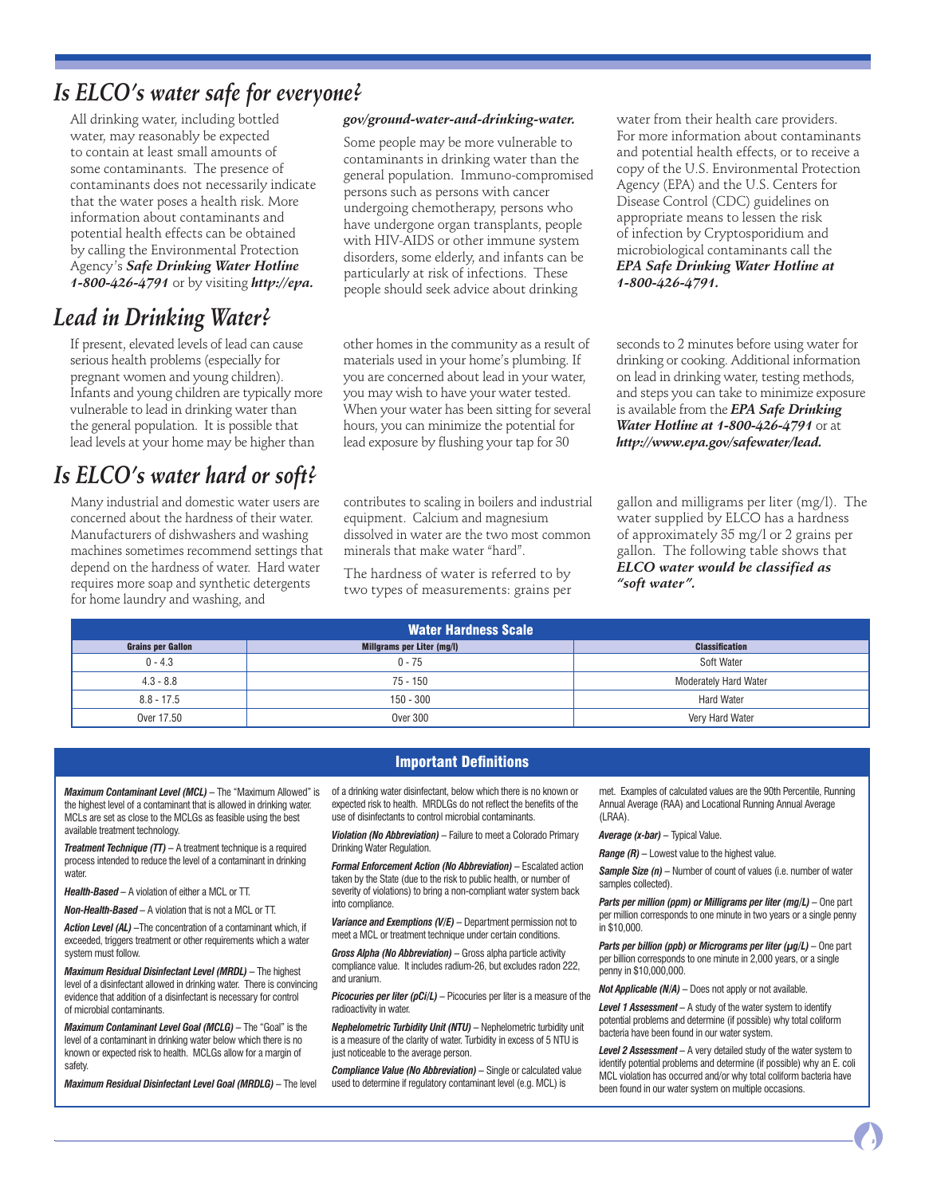### *Is ELCO's water safe for everyone?*

All drinking water, including bottled water, may reasonably be expected to contain at least small amounts of some contaminants. The presence of contaminants does not necessarily indicate that the water poses a health risk. More information about contaminants and potential health effects can be obtained by calling the Environmental Protection Agency's *Safe Drinking Water Hotline 1-800-426-4791* or by visiting *http://epa.*

### *Lead in Drinking Water?*

If present, elevated levels of lead can cause serious health problems (especially for pregnant women and young children). Infants and young children are typically more vulnerable to lead in drinking water than the general population. It is possible that lead levels at your home may be higher than

### *Is ELCO's water hard or soft?*

Many industrial and domestic water users are concerned about the hardness of their water. Manufacturers of dishwashers and washing machines sometimes recommend settings that depend on the hardness of water. Hard water requires more soap and synthetic detergents for home laundry and washing, and

#### *gov/ground-water-and-drinking-water.*

Some people may be more vulnerable to contaminants in drinking water than the general population. Immuno-compromised persons such as persons with cancer undergoing chemotherapy, persons who have undergone organ transplants, people with HIV-AIDS or other immune system disorders, some elderly, and infants can be particularly at risk of infections. These people should seek advice about drinking

other homes in the community as a result of materials used in your home's plumbing. If you are concerned about lead in your water, you may wish to have your water tested. When your water has been sitting for several hours, you can minimize the potential for lead exposure by flushing your tap for 30

contributes to scaling in boilers and industrial equipment. Calcium and magnesium dissolved in water are the two most common minerals that make water "hard".

The hardness of water is referred to by two types of measurements: grains per water from their health care providers. For more information about contaminants and potential health effects, or to receive a copy of the U.S. Environmental Protection Agency (EPA) and the U.S. Centers for Disease Control (CDC) guidelines on appropriate means to lessen the risk of infection by Cryptosporidium and microbiological contaminants call the *EPA Safe Drinking Water Hotline at 1-800-426-4791.* 

seconds to 2 minutes before using water for drinking or cooking. Additional information on lead in drinking water, testing methods, and steps you can take to minimize exposure is available from the *EPA Safe Drinking Water Hotline at 1-800-426-4791* or at *http://www.epa.gov/safewater/lead.*

gallon and milligrams per liter (mg/l). The water supplied by ELCO has a hardness of approximately 35 mg/l or 2 grains per gallon. The following table shows that *ELCO water would be classified as "soft water".*

| <b>Water Hardness Scale</b> |                            |                              |  |  |  |  |
|-----------------------------|----------------------------|------------------------------|--|--|--|--|
| <b>Grains per Gallon</b>    | Millgrams per Liter (mg/l) | <b>Classification</b>        |  |  |  |  |
| $0 - 4.3$                   | $0 - 75$                   | Soft Water                   |  |  |  |  |
| $4.3 - 8.8$                 | 75 - 150                   | <b>Moderately Hard Water</b> |  |  |  |  |
| $8.8 - 17.5$                | $150 - 300$                | <b>Hard Water</b>            |  |  |  |  |
| Over 17.50                  | <b>Over 300</b>            | Very Hard Water              |  |  |  |  |

### Important Definitions

*Maximum Contaminant Level (MCL) –* The "Maximum Allowed" is the highest level of a contaminant that is allowed in drinking water. MCLs are set as close to the MCLGs as feasible using the best available treatment technology.

*Treatment Technique (TT) –* A treatment technique is a required process intended to reduce the level of a contaminant in drinking water

*Health-Based –* A violation of either a MCL or TT.

*Non-Health-Based –* A violation that is not a MCL or TT.

*Action Level (AL) –*The concentration of a contaminant which, if exceeded, triggers treatment or other requirements which a water system must follow.

*Maximum Residual Disinfectant Level (MRDL) –* The highest level of a disinfectant allowed in drinking water. There is convincing evidence that addition of a disinfectant is necessary for control of microbial contaminants.

*Maximum Contaminant Level Goal (MCLG) –* The "Goal" is the level of a contaminant in drinking water below which there is no known or expected risk to health. MCLGs allow for a margin of safety.

*Maximum Residual Disinfectant Level Goal (MRDLG) –* The level

of a drinking water disinfectant, below which there is no known or expected risk to health. MRDLGs do not reflect the benefits of the use of disinfectants to control microbial contaminants.

*Violation (No Abbreviation) –* Failure to meet a Colorado Primary Drinking Water Regulation.

*Formal Enforcement Action (No Abbreviation)* – Escalated action taken by the State (due to the risk to public health, or number of severity of violations) to bring a non-compliant water system back into compliance.

*Variance and Exemptions (V/E) –* Department permission not to meet a MCL or treatment technique under certain conditions.

*Gross Alpha (No Abbreviation) –* Gross alpha particle activity compliance value. It includes radium-26, but excludes radon 222, and uranium.

*Picocuries per liter (pCi/L) –* Picocuries per liter is a measure of the radioactivity in water.

*Nephelometric Turbidity Unit (NTU) –* Nephelometric turbidity unit is a measure of the clarity of water. Turbidity in excess of 5 NTU is just noticeable to the average person.

*Compliance Value (No Abbreviation) –* Single or calculated value used to determine if regulatory contaminant level (e.g. MCL) is

met. Examples of calculated values are the 90th Percentile, Running Annual Average (RAA) and Locational Running Annual Average (LRAA).

#### *Average (x-bar) –* Typical Value.

*Range (R)* – Lowest value to the highest value.

Sample Size (n) - Number of count of values (i.e. number of water samples collected).

*Parts per million (ppm) or Milligrams per liter (mg/L) – One part* per million corresponds to one minute in two years or a single penny in \$10,000.

*Parts per billion (ppb) or Micrograms per liter (µg/L) –* One part per billion corresponds to one minute in 2,000 years, or a single penny in \$10,000,000.

*Not Applicable (N/A) –* Does not apply or not available.

*Level 1 Assessment –* A study of the water system to identify potential problems and determine (if possible) why total coliform bacteria have been found in our water system.

*Level 2 Assessment –* A very detailed study of the water system to identify potential problems and determine (if possible) why an E. coli MCL violation has occurred and/or why total coliform bacteria have been found in our water system on multiple occasions.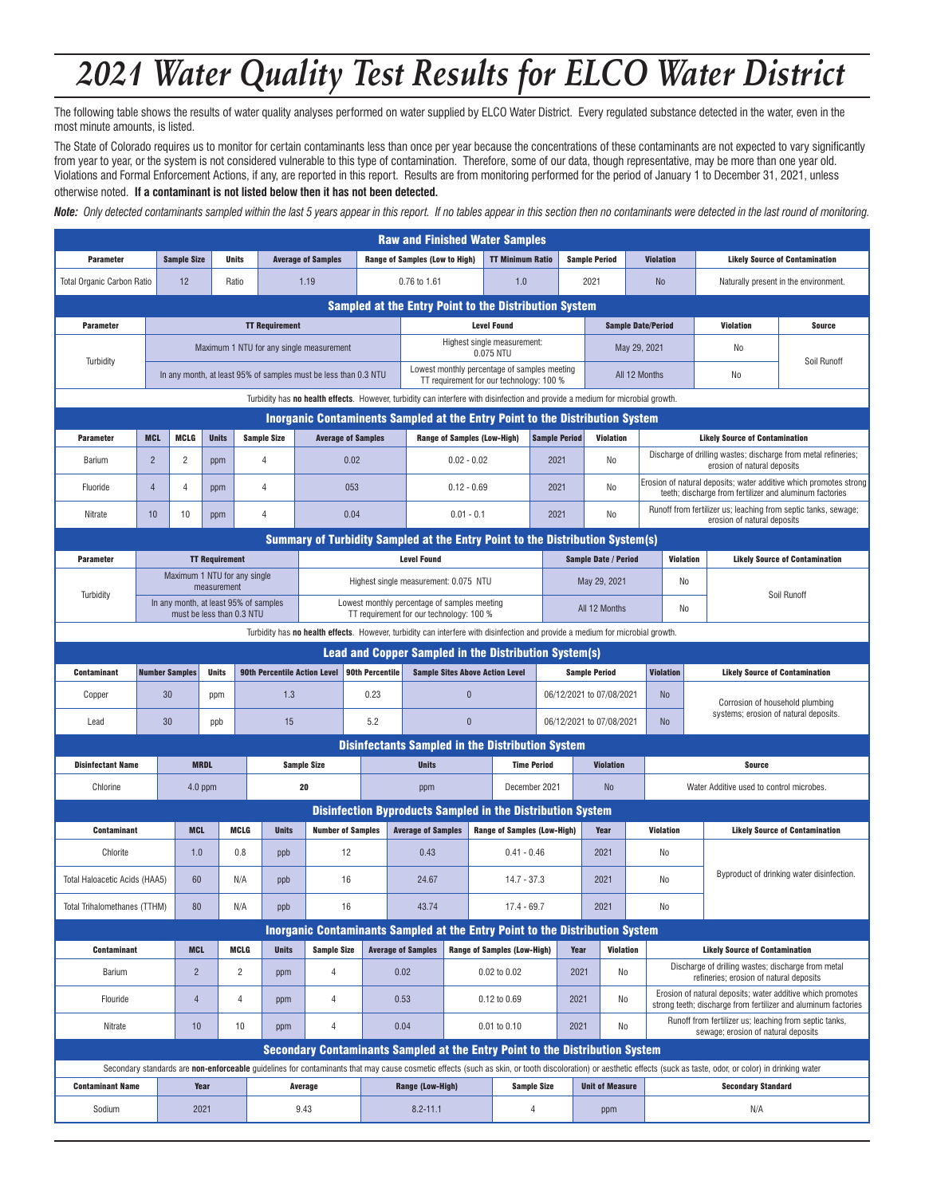# *2021 Water Quality Test Results for ELCO Water District*

The following table shows the results of water quality analyses performed on water supplied by ELCO Water District. Every regulated substance detected in the water, even in the most minute amounts, is listed.

The State of Colorado requires us to monitor for certain contaminants less than once per year because the concentrations of these contaminants are not expected to vary significantly from year to year, or the system is not considered vulnerable to this type of contamination. Therefore, some of our data, though representative, may be more than one year old. Violations and Formal Enforcement Actions, if any, are reported in this report. Results are from monitoring performed for the period of January 1 to December 31, 2021, unless otherwise noted. **If a contaminant is not listed below then it has not been detected.**

*Note: Only detected contaminants sampled within the last 5 years appear in this report. If no tables appear in this section then no contaminants were detected in the last round of monitoring.*

| <b>Raw and Finished Water Samples</b>                                                                                                                       |                                                                                     |                                                                              |                           |                |                                          |                                                                                                                                |                                       |                                                                   |                                                                                          |                                        |                                    |                          |                             |                                                                                                                              |                                                                                                                                                                                                                   |                                                                                                                              |  |
|-------------------------------------------------------------------------------------------------------------------------------------------------------------|-------------------------------------------------------------------------------------|------------------------------------------------------------------------------|---------------------------|----------------|------------------------------------------|--------------------------------------------------------------------------------------------------------------------------------|---------------------------------------|-------------------------------------------------------------------|------------------------------------------------------------------------------------------|----------------------------------------|------------------------------------|--------------------------|-----------------------------|------------------------------------------------------------------------------------------------------------------------------|-------------------------------------------------------------------------------------------------------------------------------------------------------------------------------------------------------------------|------------------------------------------------------------------------------------------------------------------------------|--|
| <b>Parameter</b>                                                                                                                                            |                                                                                     | <b>Sample Size</b>                                                           |                           | <b>Units</b>   |                                          | <b>Average of Samples</b>                                                                                                      | <b>Range of Samples (Low to High)</b> |                                                                   |                                                                                          | <b>TT Minimum Ratio</b>                |                                    |                          | <b>Sample Period</b>        | <b>Violation</b>                                                                                                             | <b>Likely Source of Contamination</b>                                                                                                                                                                             |                                                                                                                              |  |
| <b>Total Organic Carbon Ratio</b>                                                                                                                           |                                                                                     | 12                                                                           |                           | Ratio          |                                          | 1.19<br>0.76 to 1.61<br>1.0                                                                                                    |                                       |                                                                   |                                                                                          |                                        |                                    | 2021                     | <b>No</b>                   | Naturally present in the environment.                                                                                        |                                                                                                                                                                                                                   |                                                                                                                              |  |
|                                                                                                                                                             |                                                                                     |                                                                              |                           |                |                                          |                                                                                                                                |                                       | <b>Sampled at the Entry Point to the Distribution System</b>      |                                                                                          |                                        |                                    |                          |                             |                                                                                                                              |                                                                                                                                                                                                                   |                                                                                                                              |  |
| <b>Parameter</b>                                                                                                                                            |                                                                                     |                                                                              |                           |                | <b>TT Requirement</b>                    | <b>Level Found</b>                                                                                                             |                                       |                                                                   |                                                                                          |                                        |                                    |                          |                             | <b>Sample Date/Period</b>                                                                                                    | Violation                                                                                                                                                                                                         | <b>Source</b>                                                                                                                |  |
| Maximum 1 NTU for any single measurement<br>Turbidity                                                                                                       |                                                                                     |                                                                              |                           |                | Highest single measurement:<br>0.075 NTU |                                                                                                                                |                                       |                                                                   |                                                                                          | May 29, 2021                           | No                                 | Soil Runoff              |                             |                                                                                                                              |                                                                                                                                                                                                                   |                                                                                                                              |  |
| Lowest monthly percentage of samples meeting<br>In any month, at least 95% of samples must be less than 0.3 NTU<br>TT requirement for our technology: 100 % |                                                                                     |                                                                              |                           |                |                                          |                                                                                                                                |                                       |                                                                   |                                                                                          |                                        | All 12 Months<br>No                |                          |                             |                                                                                                                              |                                                                                                                                                                                                                   |                                                                                                                              |  |
| Turbidity has no health effects. However, turbidity can interfere with disinfection and provide a medium for microbial growth.                              |                                                                                     |                                                                              |                           |                |                                          |                                                                                                                                |                                       |                                                                   |                                                                                          |                                        |                                    |                          |                             |                                                                                                                              |                                                                                                                                                                                                                   |                                                                                                                              |  |
|                                                                                                                                                             | <b>Inorganic Contaminents Sampled at the Entry Point to the Distribution System</b> |                                                                              |                           |                |                                          |                                                                                                                                |                                       |                                                                   |                                                                                          |                                        |                                    |                          |                             |                                                                                                                              |                                                                                                                                                                                                                   |                                                                                                                              |  |
| <b>Parameter</b>                                                                                                                                            | <b>MCL</b>                                                                          | <b>MCLG</b>                                                                  | <b>Units</b>              |                | <b>Sample Size</b>                       | <b>Average of Samples</b>                                                                                                      |                                       |                                                                   | <b>Range of Samples (Low-High)</b>                                                       |                                        | <b>Sample Period</b>               |                          | <b>Violation</b>            |                                                                                                                              | <b>Likely Source of Contamination</b>                                                                                                                                                                             |                                                                                                                              |  |
| Barium                                                                                                                                                      | $\overline{2}$                                                                      | 2                                                                            | ppm                       |                | $\overline{4}$                           | 0.02                                                                                                                           |                                       |                                                                   | $0.02 - 0.02$                                                                            |                                        |                                    | 2021<br>N <sub>0</sub>   |                             |                                                                                                                              | Discharge of drilling wastes; discharge from metal refineries;<br>erosion of natural deposits                                                                                                                     |                                                                                                                              |  |
| Fluoride                                                                                                                                                    | $\overline{4}$                                                                      | 4                                                                            | ppm                       |                | $\overline{4}$                           | 053                                                                                                                            |                                       |                                                                   | $0.12 - 0.69$<br>2021                                                                    |                                        |                                    | No                       |                             | Erosion of natural deposits; water additive which promotes strong<br>teeth; discharge from fertilizer and aluminum factories |                                                                                                                                                                                                                   |                                                                                                                              |  |
| Nitrate                                                                                                                                                     | 10                                                                                  | 10                                                                           | ppm                       |                | 4                                        | 0.04                                                                                                                           |                                       |                                                                   | $0.01 - 0.1$                                                                             |                                        | 2021                               |                          | No                          |                                                                                                                              | Runoff from fertilizer us; leaching from septic tanks, sewage;<br>erosion of natural deposits                                                                                                                     |                                                                                                                              |  |
|                                                                                                                                                             |                                                                                     |                                                                              |                           |                |                                          | Summary of Turbidity Sampled at the Entry Point to the Distribution System(s)                                                  |                                       |                                                                   |                                                                                          |                                        |                                    |                          |                             |                                                                                                                              |                                                                                                                                                                                                                   |                                                                                                                              |  |
| <b>Parameter</b>                                                                                                                                            |                                                                                     |                                                                              | <b>TT Requirement</b>     |                |                                          |                                                                                                                                |                                       | <b>Level Found</b>                                                |                                                                                          |                                        |                                    |                          | <b>Sample Date / Period</b> | <b>Violation</b>                                                                                                             |                                                                                                                                                                                                                   | <b>Likely Source of Contamination</b>                                                                                        |  |
| Turbidity                                                                                                                                                   |                                                                                     | Maximum 1 NTU for any single                                                 | measurement               |                |                                          |                                                                                                                                |                                       | Highest single measurement: 0.075 NTU                             |                                                                                          |                                        |                                    |                          | May 29, 2021                | No                                                                                                                           |                                                                                                                                                                                                                   |                                                                                                                              |  |
|                                                                                                                                                             |                                                                                     | In any month, at least 95% of samples                                        | must be less than 0.3 NTU |                |                                          |                                                                                                                                |                                       |                                                                   | Lowest monthly percentage of samples meeting<br>TT requirement for our technology: 100 % |                                        |                                    |                          | All 12 Months               | No                                                                                                                           |                                                                                                                                                                                                                   | Soil Runoff                                                                                                                  |  |
|                                                                                                                                                             |                                                                                     |                                                                              |                           |                |                                          | Turbidity has no health effects. However, turbidity can interfere with disinfection and provide a medium for microbial growth. |                                       |                                                                   |                                                                                          |                                        |                                    |                          |                             |                                                                                                                              |                                                                                                                                                                                                                   |                                                                                                                              |  |
|                                                                                                                                                             |                                                                                     |                                                                              |                           |                |                                          |                                                                                                                                |                                       | <b>Lead and Copper Sampled in the Distribution System(s)</b>      |                                                                                          |                                        |                                    |                          |                             |                                                                                                                              |                                                                                                                                                                                                                   |                                                                                                                              |  |
| <b>Contaminant</b>                                                                                                                                          |                                                                                     | <b>Number Samples</b><br><b>90th Percentile Action Level</b><br><b>Units</b> |                           |                |                                          | <b>90th Percentile</b>                                                                                                         |                                       |                                                                   |                                                                                          | <b>Sample Sites Above Action Level</b> | <b>Sample Period</b>               |                          |                             | <b>Violation</b>                                                                                                             | <b>Likely Source of Contamination</b>                                                                                                                                                                             |                                                                                                                              |  |
| Copper                                                                                                                                                      | 30                                                                                  |                                                                              | ppm                       |                | 1.3                                      | 0.23                                                                                                                           |                                       |                                                                   | $\mathbf{0}$                                                                             |                                        |                                    | 06/12/2021 to 07/08/2021 |                             | No                                                                                                                           |                                                                                                                                                                                                                   | Corrosion of household plumbing<br>systems; erosion of natural deposits.                                                     |  |
| Lead                                                                                                                                                        | 30                                                                                  |                                                                              | ppb                       |                | 15                                       | 5.2                                                                                                                            |                                       |                                                                   | $\mathbf{0}$                                                                             |                                        |                                    | 06/12/2021 to 07/08/2021 | N <sub>o</sub>              |                                                                                                                              |                                                                                                                                                                                                                   |                                                                                                                              |  |
|                                                                                                                                                             |                                                                                     |                                                                              |                           |                |                                          |                                                                                                                                |                                       | <b>Disinfectants Sampled in the Distribution System</b>           |                                                                                          |                                        |                                    |                          |                             |                                                                                                                              |                                                                                                                                                                                                                   |                                                                                                                              |  |
| <b>Disinfectant Name</b>                                                                                                                                    |                                                                                     | <b>MRDL</b>                                                                  |                           |                | <b>Sample Size</b>                       |                                                                                                                                | <b>Units</b>                          |                                                                   |                                                                                          |                                        | <b>Time Period</b>                 |                          | <b>Violation</b>            |                                                                                                                              | Source                                                                                                                                                                                                            |                                                                                                                              |  |
| Chlorine                                                                                                                                                    |                                                                                     |                                                                              | $4.0$ ppm                 |                |                                          | 20                                                                                                                             |                                       | ppm                                                               |                                                                                          |                                        | December 2021                      |                          | <b>No</b>                   | Water Additive used to control microbes.                                                                                     |                                                                                                                                                                                                                   |                                                                                                                              |  |
|                                                                                                                                                             |                                                                                     |                                                                              |                           |                |                                          |                                                                                                                                |                                       | <b>Disinfection Byproducts Sampled in the Distribution System</b> |                                                                                          |                                        |                                    |                          |                             |                                                                                                                              |                                                                                                                                                                                                                   |                                                                                                                              |  |
| <b>Contaminant</b>                                                                                                                                          |                                                                                     | <b>MCL</b>                                                                   |                           | <b>MCLG</b>    | <b>Units</b>                             |                                                                                                                                | <b>Number of Samples</b>              | <b>Average of Samples</b>                                         |                                                                                          |                                        | <b>Range of Samples (Low-High)</b> |                          | Year                        | Violation                                                                                                                    |                                                                                                                                                                                                                   | <b>Likely Source of Contamination</b>                                                                                        |  |
| Chlorite                                                                                                                                                    |                                                                                     |                                                                              | 1.0                       | 0.8            | ppb                                      | 12                                                                                                                             |                                       |                                                                   | 0.43                                                                                     |                                        | $0.41 - 0.46$                      |                          | 2021                        | No                                                                                                                           |                                                                                                                                                                                                                   |                                                                                                                              |  |
| Total Haloacetic Acids (HAA5)                                                                                                                               |                                                                                     | 60                                                                           |                           | N/A            | ppb                                      | 16                                                                                                                             |                                       | 24.67                                                             |                                                                                          |                                        | $14.7 - 37.3$                      |                          | 2021                        | No                                                                                                                           |                                                                                                                                                                                                                   | Byproduct of drinking water disinfection.                                                                                    |  |
|                                                                                                                                                             | Total Trihalomethanes (TTHM)                                                        |                                                                              | 80                        | N/A            | ppb                                      | 16                                                                                                                             |                                       | 43.74                                                             | 17.4 - 69.7                                                                              |                                        |                                    |                          | 2021                        | No                                                                                                                           |                                                                                                                                                                                                                   |                                                                                                                              |  |
| Inorganic Contaminants Sampled at the Entry Point to the Distribution System                                                                                |                                                                                     |                                                                              |                           |                |                                          |                                                                                                                                |                                       |                                                                   |                                                                                          |                                        |                                    |                          |                             |                                                                                                                              |                                                                                                                                                                                                                   |                                                                                                                              |  |
| <b>Contaminant</b>                                                                                                                                          |                                                                                     | <b>MCL</b>                                                                   |                           | <b>MCLG</b>    | <b>Units</b>                             | <b>Sample Size</b>                                                                                                             |                                       | <b>Average of Samples</b>                                         | <b>Range of Samples (Low-High)</b>                                                       |                                        |                                    | <b>Violation</b><br>Year |                             |                                                                                                                              |                                                                                                                                                                                                                   | <b>Likely Source of Contamination</b>                                                                                        |  |
| Barium                                                                                                                                                      |                                                                                     | $\overline{c}$                                                               |                           | $\overline{c}$ | ppm                                      | 4                                                                                                                              |                                       | 0.02                                                              |                                                                                          | $0.02$ to $0.02$                       |                                    | 2021<br>No               |                             |                                                                                                                              |                                                                                                                                                                                                                   | Discharge of drilling wastes; discharge from metal<br>refineries; erosion of natural deposits                                |  |
| Flouride                                                                                                                                                    |                                                                                     | 4                                                                            |                           | 4              | ppm                                      | 4                                                                                                                              |                                       | 0.53                                                              | 0.12 to 0.69                                                                             |                                        |                                    | 2021<br>No               |                             |                                                                                                                              |                                                                                                                                                                                                                   | Erosion of natural deposits: water additive which promotes<br>strong teeth; discharge from fertilizer and aluminum factories |  |
| Nitrate                                                                                                                                                     |                                                                                     | 10 <sup>1</sup>                                                              |                           | 10             | ppm                                      | 4                                                                                                                              |                                       | 0.04                                                              | 0.01 to 0.10                                                                             |                                        |                                    | No<br>2021               |                             | Runoff from fertilizer us; leaching from septic tanks,<br>sewage; erosion of natural deposits                                |                                                                                                                                                                                                                   |                                                                                                                              |  |
| Secondary Contaminants Sampled at the Entry Point to the Distribution System                                                                                |                                                                                     |                                                                              |                           |                |                                          |                                                                                                                                |                                       |                                                                   |                                                                                          |                                        |                                    |                          |                             |                                                                                                                              |                                                                                                                                                                                                                   |                                                                                                                              |  |
|                                                                                                                                                             |                                                                                     |                                                                              |                           |                |                                          |                                                                                                                                |                                       |                                                                   |                                                                                          |                                        |                                    |                          |                             |                                                                                                                              | Secondary standards are non-enforceable quidelines for contaminants that may cause cosmetic effects (such as skin, or tooth discoloration) or aesthetic effects (suck as taste, odor, or color) in drinking water |                                                                                                                              |  |
| <b>Contaminant Name</b>                                                                                                                                     |                                                                                     |                                                                              | Year                      |                |                                          | Average                                                                                                                        |                                       |                                                                   | <b>Range (Low-High)</b>                                                                  |                                        | <b>Sample Size</b>                 | <b>Unit of Measure</b>   |                             |                                                                                                                              | <b>Secondary Standard</b>                                                                                                                                                                                         |                                                                                                                              |  |
| Sodium                                                                                                                                                      |                                                                                     |                                                                              | 2021                      |                | 9.43                                     |                                                                                                                                | $8.2 - 11.1$                          |                                                                   |                                                                                          | 4                                      | ppm                                |                          |                             | N/A                                                                                                                          |                                                                                                                                                                                                                   |                                                                                                                              |  |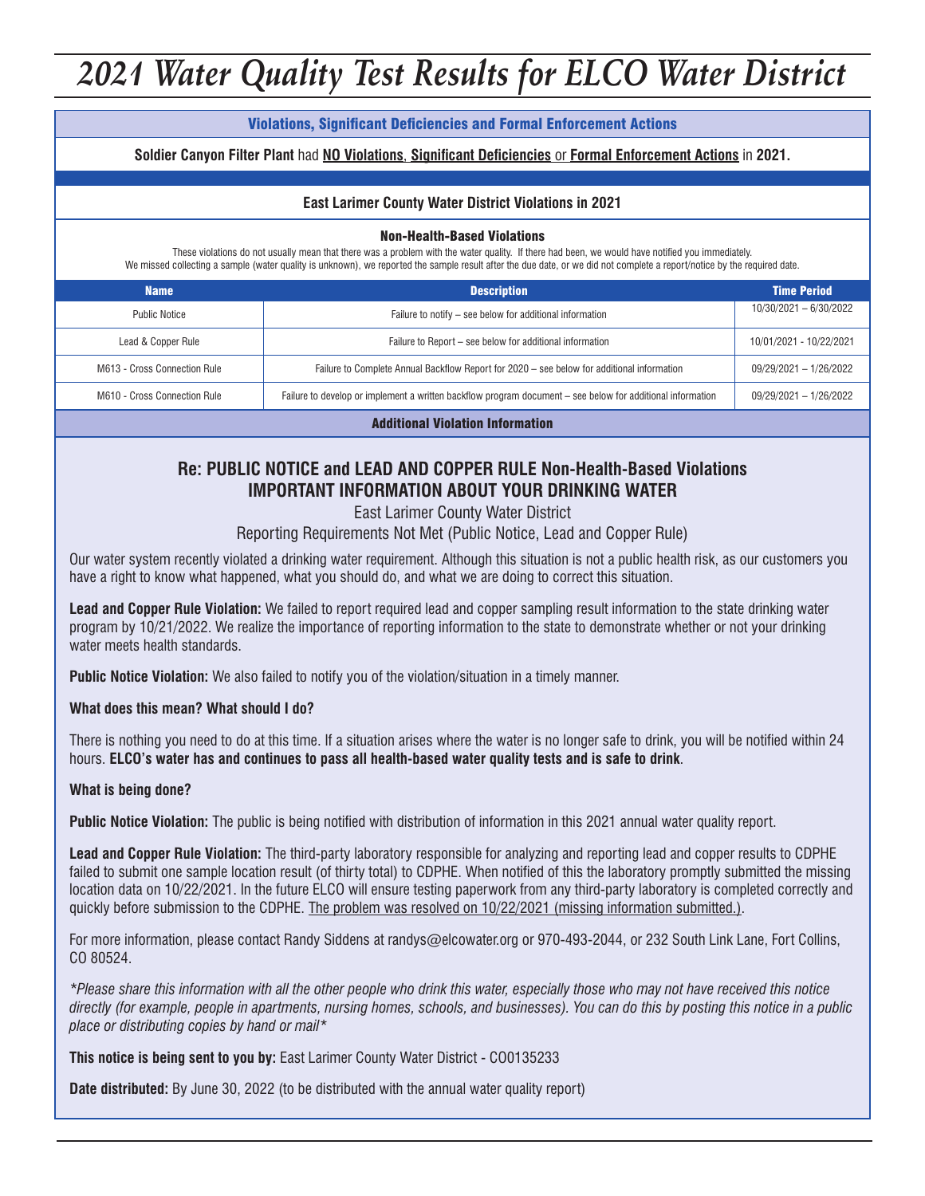# *2021 Water Quality Test Results for ELCO Water District*

#### Violations, Significant Deficiencies and Formal Enforcement Actions

**Soldier Canyon Filter Plant** had **NO Violations**, **Significant Deficiencies** or **Formal Enforcement Actions** in **2021.**

#### **East Larimer County Water District Violations in 2021**

#### Non-Health-Based Violations

These violations do not usually mean that there was a problem with the water quality. If there had been, we would have notified you immediately. We missed collecting a sample (water quality is unknown), we reported the sample result after the due date, or we did not complete a report/notice by the required date.

| <b>Name</b>                  | <b>Description</b>                                                                                         | <b>Time Period</b>       |  |  |  |  |
|------------------------------|------------------------------------------------------------------------------------------------------------|--------------------------|--|--|--|--|
| <b>Public Notice</b>         | Failure to notify - see below for additional information                                                   | $10/30/2021 - 6/30/2022$ |  |  |  |  |
| Lead & Copper Rule           | Failure to Report – see below for additional information                                                   | 10/01/2021 - 10/22/2021  |  |  |  |  |
| M613 - Cross Connection Rule | Failure to Complete Annual Backflow Report for 2020 – see below for additional information                 | 09/29/2021 - 1/26/2022   |  |  |  |  |
| M610 - Cross Connection Rule | Failure to develop or implement a written backflow program document – see below for additional information | 09/29/2021 - 1/26/2022   |  |  |  |  |
|                              |                                                                                                            |                          |  |  |  |  |

Additional Violation Information

#### **Re: PUBLIC NOTICE and LEAD AND COPPER RULE Non-Health-Based Violations IMPORTANT INFORMATION ABOUT YOUR DRINKING WATER**

East Larimer County Water District

Reporting Requirements Not Met (Public Notice, Lead and Copper Rule)

Our water system recently violated a drinking water requirement. Although this situation is not a public health risk, as our customers you have a right to know what happened, what you should do, and what we are doing to correct this situation.

**Lead and Copper Rule Violation:** We failed to report required lead and copper sampling result information to the state drinking water program by 10/21/2022. We realize the importance of reporting information to the state to demonstrate whether or not your drinking water meets health standards.

**Public Notice Violation:** We also failed to notify you of the violation/situation in a timely manner.

**What does this mean? What should I do?**

There is nothing you need to do at this time. If a situation arises where the water is no longer safe to drink, you will be notified within 24 hours. **ELCO's water has and continues to pass all health-based water quality tests and is safe to drink**.

#### **What is being done?**

**Public Notice Violation:** The public is being notified with distribution of information in this 2021 annual water quality report.

**Lead and Copper Rule Violation:** The third-party laboratory responsible for analyzing and reporting lead and copper results to CDPHE failed to submit one sample location result (of thirty total) to CDPHE. When notified of this the laboratory promptly submitted the missing location data on 10/22/2021. In the future ELCO will ensure testing paperwork from any third-party laboratory is completed correctly and quickly before submission to the CDPHE. The problem was resolved on 10/22/2021 (missing information submitted.).

For more information, please contact Randy Siddens at randys@elcowater.org or 970-493-2044, or 232 South Link Lane, Fort Collins, CO 80524.

*\*Please share this information with all the other people who drink this water, especially those who may not have received this notice directly (for example, people in apartments, nursing homes, schools, and businesses). You can do this by posting this notice in a public place or distributing copies by hand or mail\**

**This notice is being sent to you by:** East Larimer County Water District - CO0135233

**Date distributed:** By June 30, 2022 (to be distributed with the annual water quality report)